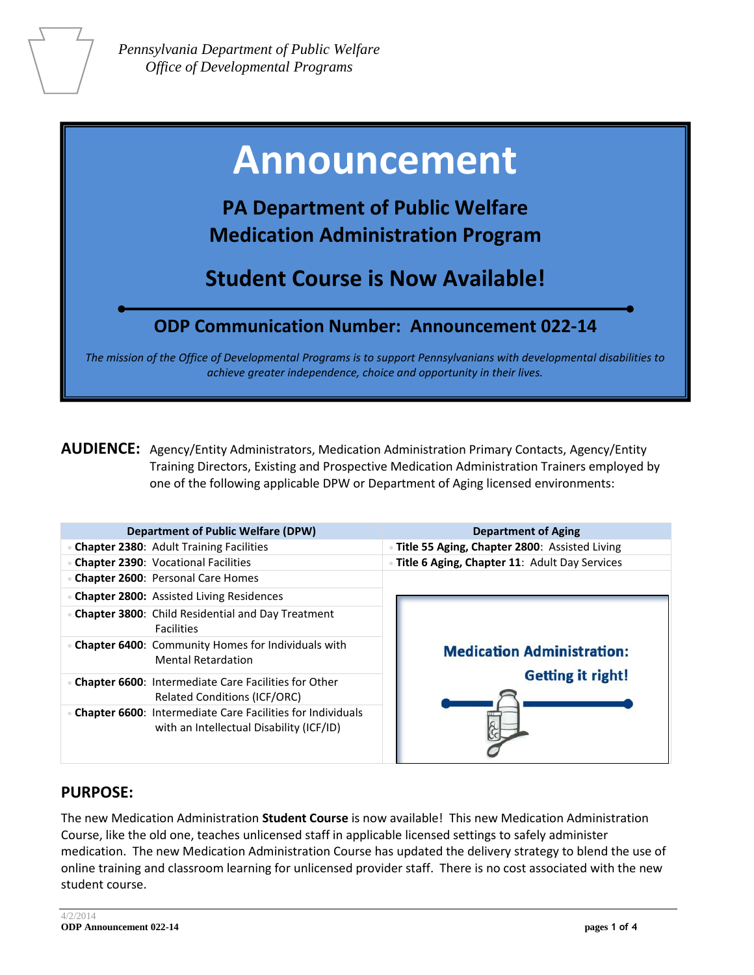# **Announcement**

**PA Department of Public Welfare Medication Administration Program**

**Student Course is Now Available!**

# **ODP Communication Number: Announcement 022-14**

*The mission of the Office of Developmental Programs is to support Pennsylvanians with developmental disabilities to achieve greater independence, choice and opportunity in their lives.*

**AUDIENCE:** Agency/Entity Administrators, Medication Administration Primary Contacts, Agency/Entity Training Directors, Existing and Prospective Medication Administration Trainers employed by one of the following applicable DPW or Department of Aging licensed environments:

| <b>Department of Public Welfare (DPW)</b>                                                                     | <b>Department of Aging</b>                    |  |  |
|---------------------------------------------------------------------------------------------------------------|-----------------------------------------------|--|--|
| <b>Chapter 2380: Adult Training Facilities</b>                                                                | Title 55 Aging, Chapter 2800: Assisted Living |  |  |
| <b>Chapter 2390: Vocational Facilities</b>                                                                    | Title 6 Aging, Chapter 11: Adult Day Services |  |  |
| <b>Chapter 2600: Personal Care Homes</b>                                                                      |                                               |  |  |
| <b>Chapter 2800:</b> Assisted Living Residences                                                               |                                               |  |  |
| <b>Chapter 3800:</b> Child Residential and Day Treatment<br><b>Facilities</b>                                 |                                               |  |  |
| Chapter 6400: Community Homes for Individuals with<br><b>Mental Retardation</b>                               | <b>Medication Administration:</b>             |  |  |
| <b>Chapter 6600:</b> Intermediate Care Facilities for Other<br><b>Related Conditions (ICF/ORC)</b>            | <b>Getting it right!</b>                      |  |  |
| <b>Chapter 6600: Intermediate Care Facilities for Individuals</b><br>with an Intellectual Disability (ICF/ID) |                                               |  |  |

## **PURPOSE:**

The new Medication Administration **Student Course** is now available! This new Medication Administration Course, like the old one, teaches unlicensed staff in applicable licensed settings to safely administer medication. The new Medication Administration Course has updated the delivery strategy to blend the use of online training and classroom learning for unlicensed provider staff. There is no cost associated with the new student course.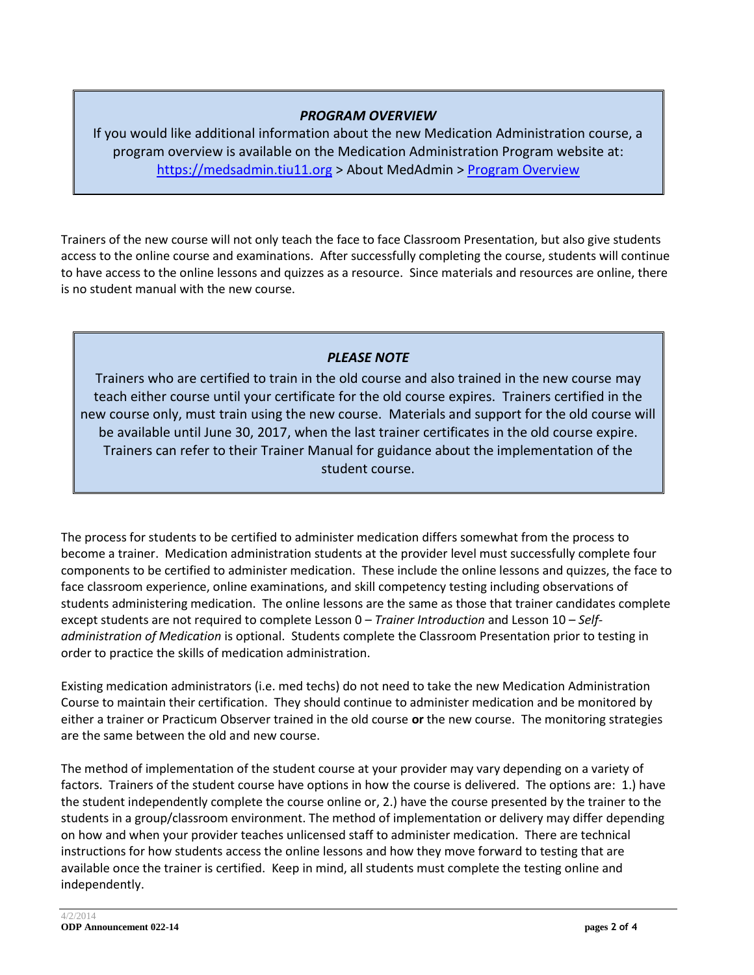### *PROGRAM OVERVIEW*

If you would like additional information about the new Medication Administration course, a program overview is available on the Medication Administration Program website at: [https://medsadmin.tiu11.org](https://medsadmin.tiu11.org/) > About MedAdmin > [Program Overview](http://documents.odpconsulting.net/alfresco/d/d/workspace/SpacesStore/32982075-b5ff-41ad-b0bc-d13f9e91b350/Medication_Administration_Program_Overview.pdf)

Trainers of the new course will not only teach the face to face Classroom Presentation, but also give students access to the online course and examinations. After successfully completing the course, students will continue to have access to the online lessons and quizzes as a resource. Since materials and resources are online, there is no student manual with the new course.

### *PLEASE NOTE*

Trainers who are certified to train in the old course and also trained in the new course may teach either course until your certificate for the old course expires. Trainers certified in the new course only, must train using the new course. Materials and support for the old course will be available until June 30, 2017, when the last trainer certificates in the old course expire. Trainers can refer to their Trainer Manual for guidance about the implementation of the student course.

The process for students to be certified to administer medication differs somewhat from the process to become a trainer. Medication administration students at the provider level must successfully complete four components to be certified to administer medication. These include the online lessons and quizzes, the face to face classroom experience, online examinations, and skill competency testing including observations of students administering medication. The online lessons are the same as those that trainer candidates complete except students are not required to complete Lesson 0 – *Trainer Introduction* and Lesson 10 – *Selfadministration of Medication* is optional. Students complete the Classroom Presentation prior to testing in order to practice the skills of medication administration.

Existing medication administrators (i.e. med techs) do not need to take the new Medication Administration Course to maintain their certification. They should continue to administer medication and be monitored by either a trainer or Practicum Observer trained in the old course **or** the new course. The monitoring strategies are the same between the old and new course.

The method of implementation of the student course at your provider may vary depending on a variety of factors. Trainers of the student course have options in how the course is delivered. The options are: 1.) have the student independently complete the course online or, 2.) have the course presented by the trainer to the students in a group/classroom environment. The method of implementation or delivery may differ depending on how and when your provider teaches unlicensed staff to administer medication. There are technical instructions for how students access the online lessons and how they move forward to testing that are available once the trainer is certified. Keep in mind, all students must complete the testing online and independently.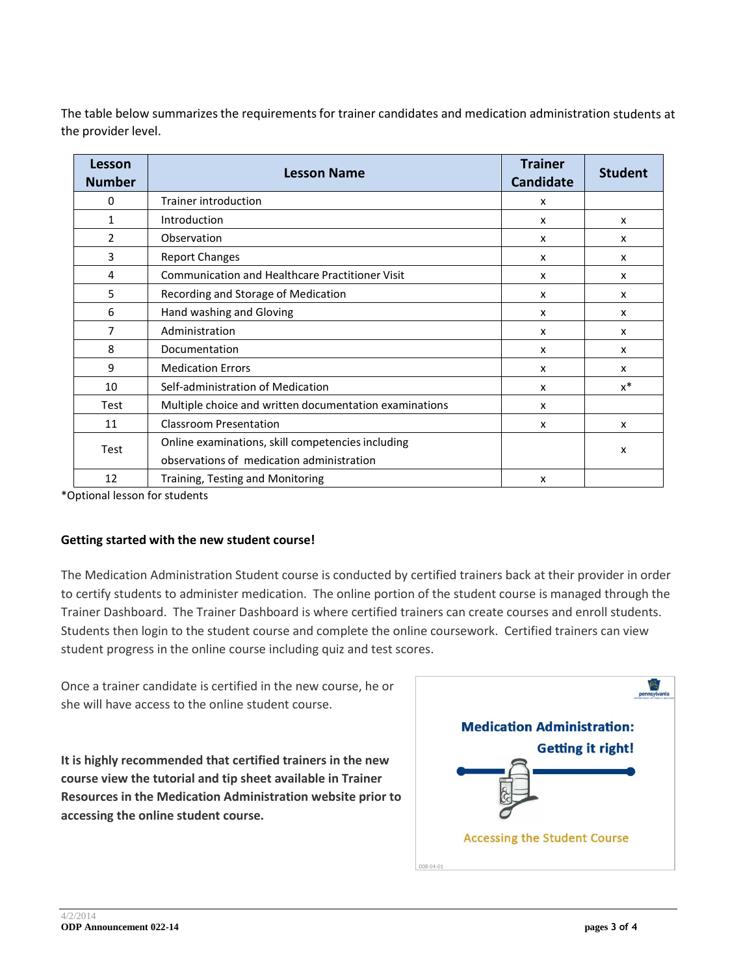The table below summarizes the requirements for trainer candidates and medication administration students at the provider level.

| Lesson<br><b>Number</b> | <b>Lesson Name</b>                                                                             | <b>Trainer</b><br><b>Candidate</b> | <b>Student</b> |
|-------------------------|------------------------------------------------------------------------------------------------|------------------------------------|----------------|
| 0                       | Trainer introduction                                                                           | X                                  |                |
| 1                       | Introduction                                                                                   | X                                  | x              |
| $\mathfrak{p}$          | Observation                                                                                    | $\boldsymbol{\mathsf{x}}$          | x              |
| 3                       | <b>Report Changes</b>                                                                          | x                                  | x              |
| 4                       | <b>Communication and Healthcare Practitioner Visit</b>                                         | $\boldsymbol{\mathsf{x}}$          | x              |
| 5                       | Recording and Storage of Medication                                                            | X                                  | x              |
| 6                       | Hand washing and Gloving                                                                       | X                                  | x              |
| 7                       | Administration                                                                                 | X                                  | x              |
| 8                       | Documentation                                                                                  | X                                  | x              |
| 9                       | <b>Medication Errors</b>                                                                       | $\boldsymbol{\mathsf{x}}$          | x              |
| 10                      | Self-administration of Medication                                                              | $\boldsymbol{\mathsf{x}}$          | $x^*$          |
| Test                    | Multiple choice and written documentation examinations                                         | $\boldsymbol{\mathsf{x}}$          |                |
| 11                      | <b>Classroom Presentation</b>                                                                  | X                                  | x              |
| Test                    | Online examinations, skill competencies including<br>observations of medication administration |                                    | x              |
| 12                      | Training, Testing and Monitoring                                                               | X                                  |                |

\*Optional lesson for students

#### **Getting started with the new student course!**

The Medication Administration Student course is conducted by certified trainers back at their provider in order to certify students to administer medication. The online portion of the student course is managed through the Trainer Dashboard. The Trainer Dashboard is where certified trainers can create courses and enroll students. Students then login to the student course and complete the online coursework. Certified trainers can view student progress in the online course including quiz and test scores.

Once a trainer candidate is certified in the new course, he or she will have access to the online student course.

**It is highly recommended that certified trainers in the new course view the tutorial and tip sheet available in Trainer Resources in the Medication Administration website prior to accessing the online student course.**